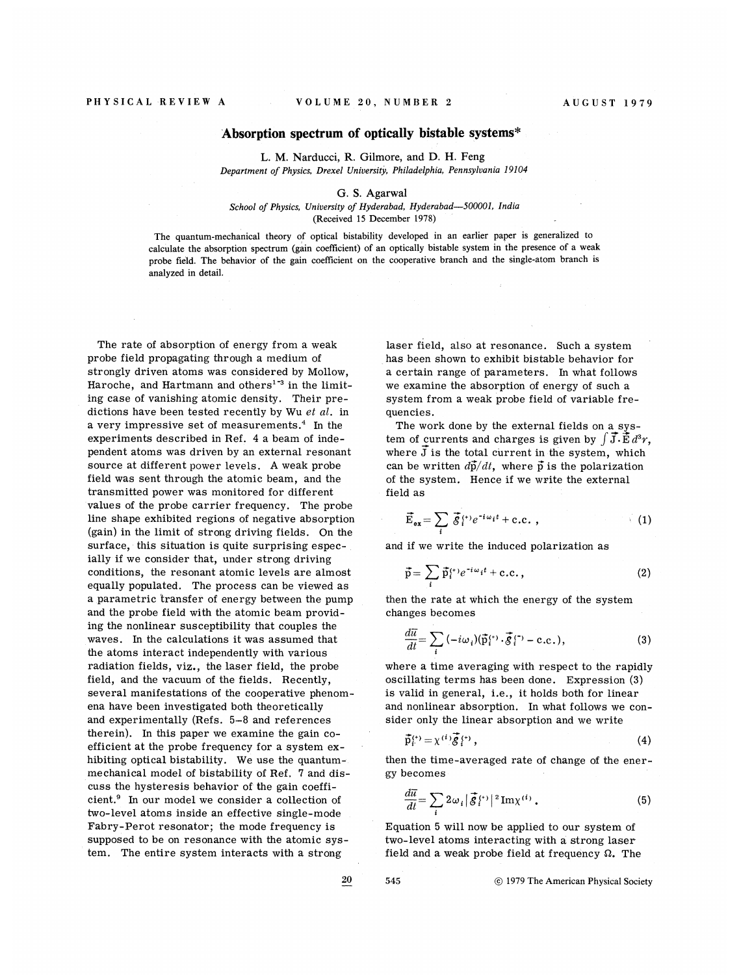## Absorption spectrum of optically bistable systems\*

L. M. Narducci, R. Gilmore, and D. H. Feng Department of Physics, Drexel University, Philadelphia, Pennsylvania 19104

## G. S. Agarwal

School of Physics, University of Hyderabad, Hyderabad-500001, India (Received 15 December 1978)

The quantum-mechanical theory of optical bistability developed in an earlier paper is generalized to calculate the absorption spectrum (gain coefficient) of an optically bistable system in the presence of a weak probe field, The behavior of the gain coefficient on the cooperative branch and the single-atom branch is analyzed in detail.

The rate of absorption of energy from a weak probe field propagating through a medium of strongly driven atoms was considered by Mollow, Haroche, and Hartmann and others<sup>1-3</sup> in the limiting case of vanishing atomic density. Their predictions have been tested recently by Wu  $et$  al. in dictions have been tested recently by will every impressive set of measurements.<sup>4</sup> In the experiments described in Ref. 4 a beam of independent atoms was driven by an external resonant source at different power levels. A weak probe field was sent through the atomic beam, and the transmitted power was monitored for different values of the probe carrier frequency. The probe line shape exhibited regions of negative absorption (gain) in the limit of strong driving fields. On the surface, this situation is quite surprising especially if we consider that, under strong driving conditions, the resonant atomic levels are almost equally populated. The process can be viewed as a parametric transfer of energy between the pump and the probe field with the atomic beam providing the nonlinear susceptibility that couples the waves. In the calculations it was assumed that the atoms interact independently with various radiation fields, viz., the laser field, the probe field, and the vacuum of the fields. Recently, several manifestations of the cooperative phenomena have been investigated both theoretically and experimentally (Hefs. <sup>5</sup>—<sup>8</sup> and references therein). In this paper we examine the gain coefficient at the probe frequency for a system exhibiting optical bistability. We use the quantummechanical model of bistability of Ref. 7 and discuss the hysteresis behavior of the gain coeffi- $\frac{1}{2}$  cuss the hysterests behavior of the gain coefficient.<sup>9</sup> In our model we consider a collection of two-level atoms inside an effective single-mode Fabry-Perot resonator; the mode frequency is supposed to be on resonance with the atomic system. The entire system interacts with a strong

laser field, also at resonance. Such a system has been shown to exhibit bistable behavior for a certain range of parameters. In what follows we examine the absorption of energy of such a system from a weak probe field of variable frequencies.

The work done by the external fields on a system of currents and charges is given by  $\int \vec{J} \cdot \vec{E} d^3r$ , where  $\bar{J}$  is the total current in the system, which can be written  $d\vec{p}/dt$ , where  $\vec{p}$  is the polarization of the system. Hence if we write the external field as

$$
\vec{\mathbf{E}}_{\mathbf{ex}} = \sum_{i} \vec{\mathcal{S}}_{i}^{(+)} e^{-i\omega_{i}t} + \text{c.c.} , \qquad (1)
$$

and if we write the induced polarization as

$$
\vec{p} = \sum_{i} \vec{p}_{i}^{(t)} e^{-i\omega_{i}t} + c.c., \qquad (2)
$$

then the rate at which the energy of the system changes becomes

$$
\frac{d\vec{u}}{dt} = \sum_{i} \left( -i\omega_i \right) (\vec{p}_i^{(+)}. \vec{\xi}_i^{(-)} - \text{c.c.}),\tag{3}
$$

where a time averaging with respect to the rapidly oscillating terms has been done. Expression (3) is valid in general, i.e., it holds both for linea. and nonlinear absorption. In what follows we consider only the linear absorption and we write

$$
\vec{\mathbf{p}}_i^{(t)} = \chi^{(i)} \vec{\mathbf{g}}_i^{(t)}, \qquad (4)
$$

then the time-averaged rate of change of the energy becomes

$$
\frac{d\overline{u}}{dt} = \sum_{i} 2\omega_i |\vec{\mathcal{S}}_i^{(t)}|^2 \operatorname{Im} \chi^{(i)} . \tag{5}
$$

Equation 5 will now be applied to our system of two-level atoms interacting with a strong laser field and a weak probe field at frequency  $\Omega$ . The

20

545

1979 The American Physical Society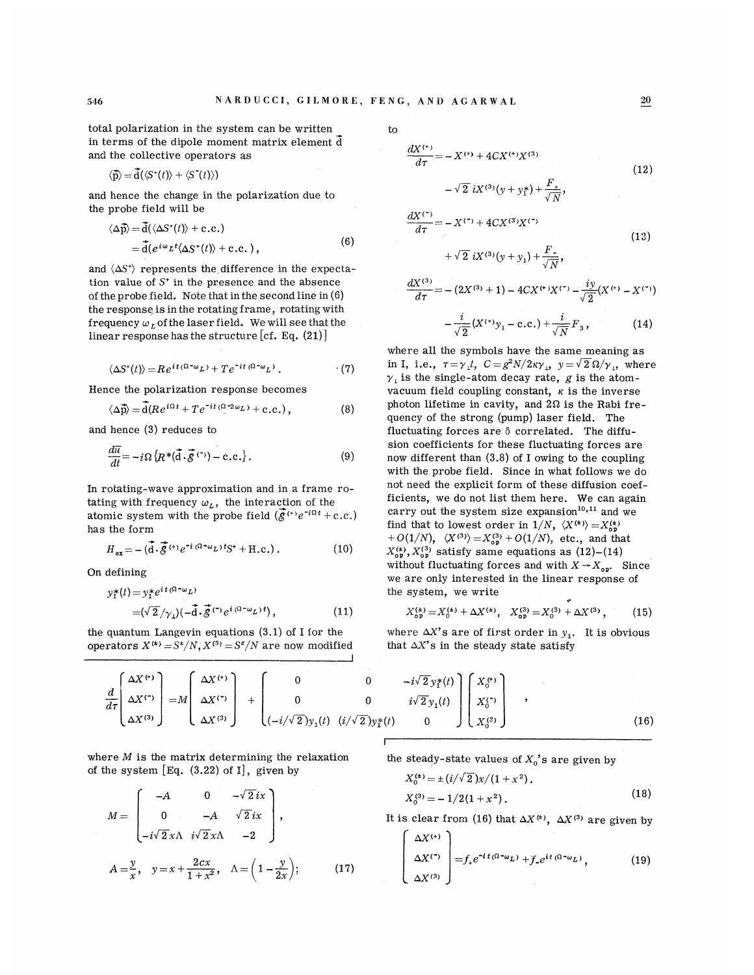total polarization in the system can be written in terms of the dipole moment matrix element d and the collective operators as

$$
\langle \vec{\mathbf{p}} \rangle = \vec{\mathbf{d}}(\langle S^*(t) \rangle + \langle S^*(t) \rangle)
$$

and hence the change in the polarization due to the probe field will be

$$
\langle \Delta \vec{p} \rangle = \vec{d}(\langle \Delta S^*(t) \rangle + c.c.)
$$
  
=  $\vec{d}(e^{i\omega} \nu^t \langle \Delta S^*(t) \rangle + c.c.)$ , (6)

and  $\langle \Delta S^* \rangle$  represents the difference in the expectation value of S' in the presence and the absence of the probe field. Note that in the second line in (6) the response is in the rotating frame, rotating with frequency  $\omega_L$  of the laser field. We will see that the linear response has the structure  $[cf. Eq. (21)]$ 

$$
\langle \Delta S^*(t) \rangle = Re^{it(\Omega - \omega_L)} + Te^{-it(\Omega - \omega_L)}.
$$
 (7)

Hence the polarization response becomes

$$
\langle \Delta \vec{\mathbf{p}} \rangle = \overline{\mathbf{d}} (Re^{i\Omega t} + T e^{-it} \langle \Omega^{-2\omega} L \rangle + \text{c.c.}), \qquad (8)
$$

and hence (3) reduces to

$$
\frac{d\overline{u}}{dt} = -i\Omega \left\{ R^*(\overline{d} \cdot \overline{\mathcal{S}}^{(\tau)}) - c.c. \right\}.
$$
 (9)

In rotating-wave approximation and in a frame rotating with frequency  $\omega_L$ , the interaction of the atomic system with the probe field  $(\vec{g}^{(t)}e^{-i\Omega t}+c.c.)$ has the form

$$
H_{\text{ex}} = -\left(\vec{\mathbf{d}} \cdot \vec{\mathcal{S}}^{(+)} e^{-i (\Omega - \omega_L) t} \mathbf{S}^+ + \text{H.c.}\right). \tag{10}
$$

Qn defining

$$
y_1^*(t) = y_1^* e^{it(\Omega - \omega_L)}
$$
  
=  $(\sqrt{2}/\gamma_L)(-\tilde{d} \cdot \tilde{\mathcal{S}}^{(\tau)} e^{i(\Omega - \omega_L)t}),$  (11)

the quantum Langevin equations (3.1) of I for the operators  $X^{(4)} = S^2/N$ ,  $X^{(3)} = S^2/N$  are now modified to

$$
\frac{dX^{(*)}}{d\tau} = -X^{(*)} + 4CX^{(*)}X^{(3)}
$$
\n
$$
- \sqrt{2} iX^{(3)}(y + y_1^*) + \frac{F_+}{\sqrt{N}},
$$
\n
$$
\frac{dX^{(-)}}{dx^{(3)}} = -X^{(-)} + 4CX^{(3)}X^{(-)}
$$
\n(12)

$$
\frac{d\mathbf{x}}{d\tau} = -X^{(\tau)} + 4CX^{(3)}X^{(\tau)}\tag{13}
$$

$$
+\sqrt{2} iX^{(3)}(y+y_1) + \frac{F}{\sqrt{N}},
$$
  

$$
\frac{dX^{(3)}}{d\tau} = -(2X^{(3)} + 1) - 4CX^{(4)}X^{(-)} - \frac{iy}{\sqrt{2}}(X^{(4)} - X^{(-)}) - \frac{i}{\sqrt{2}}(X^{(4)}y_1 - c.c.) + \frac{i}{\sqrt{N}}F_3,
$$
 (14)

where all the symbols have the same meaning as in I, i.e.,  $\tau = \gamma_1 t$ ,  $C = g^2 N / 2\kappa \gamma_1$ ,  $y = \sqrt{2} \Omega / \gamma_1$ , where  $\gamma_1$  is the single-atom decay rate, g is the atomvacuum field coupling constant,  $\kappa$  is the inverse photon lifetime in cavity, and  $2\Omega$  is the Rabi frequency of the strong (pump) laser field. The fluctuating forces are  $\delta$  correlated. The diffusion coefficients for these fluctuating forces are now different than (3.8) of I owing to the coupling with the probe field, Since in what follows we do not need the explicit form of these diffusion coefficients, we do not list them here. We can again carry out the system size expansion<sup>10,11</sup> and we find that to lowest order in  $1/N$ ,  $\langle X^{(t)} \rangle = X_{\text{on}}^{(t)}$ +  $O(1/N)$ ,  $\langle X^{(3)} \rangle = X_{\text{op}}^{(3)} + O(1/N)$ , etc., and that  $X_{\alpha}^{(4)}$ ,  $X_{\alpha}^{(3)}$  satisfy same equations as (12)-(14) without fluctuating forces and with  $X \rightarrow X_{\alpha\nu}$ . Since we are only interested in the linear response of the system, we write

$$
X_{\text{op}}^{(4)} = X_0^{(4)} + \Delta X^{(4)}, \quad X_{\text{op}}^{(3)} = X_0^{(3)} + \Delta X^{(3)}, \quad (15)
$$

where  $\Delta X'$ s are of first order in  $y_1$ . It is obvious that  $\Delta X'$ s in the steady state satisfy

$$
\frac{d}{d\tau}\begin{pmatrix}\Delta X^{(t)}\\ \Delta X^{(t)}\\ \Delta X^{(3)}\end{pmatrix} = M \begin{pmatrix}\Delta X^{(t)}\\ \Delta X^{(t)}\\ \Delta X^{(3)}\end{pmatrix} + \begin{pmatrix}\n0 & 0 & -i\sqrt{2}y_1^*(t)\\ 0 & 0 & i\sqrt{2}y_1(t)\\ (-i/\sqrt{2})y_1(t) & (i/\sqrt{2})y_1^*(t) & 0\n\end{pmatrix} \begin{pmatrix}\nX_0^{(t)}\\ X_0^{(t)}\\ X_0^{(3)}\end{pmatrix},
$$
\n(16)

where  $M$  is the matrix determining the relaxation of the system  $[Eq. (3.22)$  of I, given by

$$
M = \begin{bmatrix} -A & 0 & -\sqrt{2}ix \\ 0 & -A & \sqrt{2}ix \\ -i\sqrt{2}x\Lambda & i\sqrt{2}x\Lambda & -2 \end{bmatrix},
$$
  

$$
A = \frac{y}{x}, \quad y = x + \frac{2cx}{1 + x^2}, \quad \Lambda = \left(1 - \frac{y}{2x}\right); \quad (17)
$$

the steady-state values of  $X_0$ 's are given by

$$
X_0^{(4)} = \pm (i/\sqrt{2})x/(1+x^2).
$$
  
\n
$$
X_0^{(3)} = -1/2(1+x^2).
$$
\n(18)

It is clear from (16) that  $\Delta X^{(4)}$ ,  $\Delta X^{(3)}$  are given by

$$
\begin{bmatrix}\n\Delta X^{(+)}\\
\Delta X^{(+)}\\
\Delta X^{(3)}\n\end{bmatrix} = f_{+}e^{-it(\Omega - \omega_{L})} + f_{-}e^{it(\Omega - \omega_{L})},
$$
\n(19)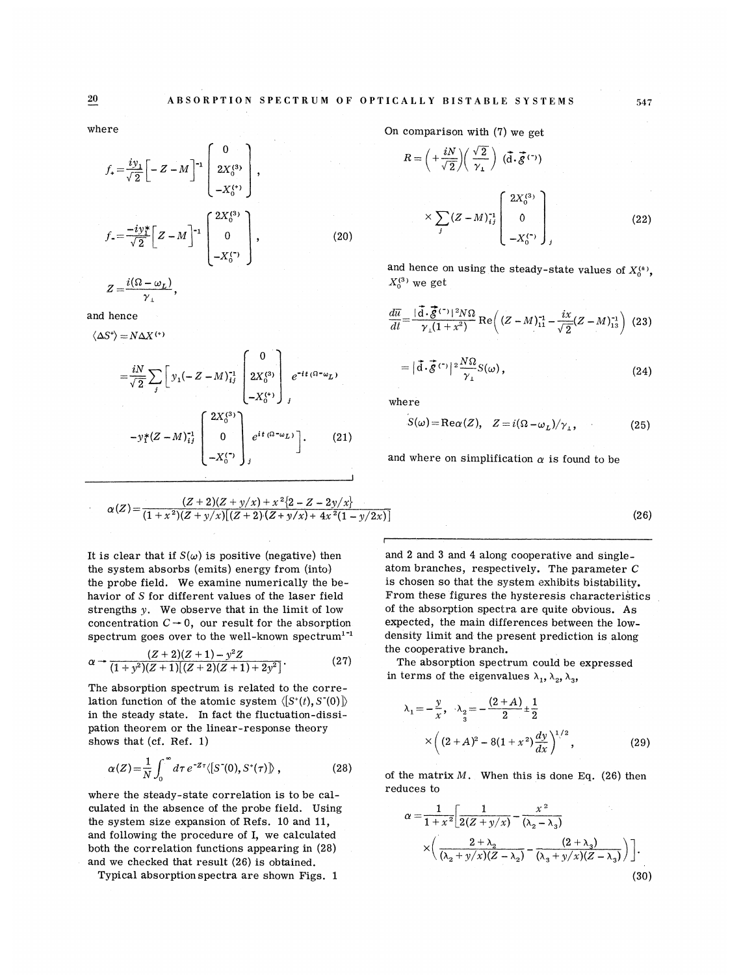where

$$
f_{+} = \frac{iy_{1}}{\sqrt{2}} \left[ -Z - M \right]^{-1} \left[ \begin{array}{c} 0 \\ 2X_{0}^{(3)} \\ -X_{0}^{(4)} \end{array} \right],
$$
  

$$
f_{-} = \frac{-iy_{1}^{*}}{\sqrt{2}} \left[ Z - M \right]^{-1} \left[ \begin{array}{c} 2X_{0}^{(3)} \\ 0 \\ -X_{0}^{(4)} \end{array} \right],
$$
 (20)  

$$
Z - \frac{i(\Omega - \omega_{L})}{2}
$$

and hence

 $\gamma_{\perp}$ 

$$
\langle \Delta S^* \rangle = N \Delta X^{(+)}
$$
  
\n
$$
= \frac{iN}{\sqrt{2}} \sum_{j} \left[ y_1(-Z - M)_{ij}^{-1} \begin{bmatrix} 0 \\ 2X_0^{(3)} \\ -X_0^{(4)} \end{bmatrix} e^{-it (0 - \omega_L)}
$$
  
\n
$$
-y_1^* (Z - M)_{ij}^{-1} \begin{bmatrix} 2X_0^{(3)} \\ 0 \\ -X_0^{(4)} \end{bmatrix} e^{it (0 - \omega_L)} \right].
$$
 (21)

$$
\alpha(Z) = \frac{(Z+2)(Z+y/x)+x^2\{2-Z-2y/x\}}{(1+x^2)(Z+y/x)[(Z+2)(Z+y/x)+4x^2(1-y/2x)]}
$$

It is clear that if  $S(\omega)$  is positive (negative) then the system absorbs (emits) energy from (into) the probe field. We examine numerically the behavior of 8 for different values of the laser field strengths y. We observe that in the limit of low concentration  $C \rightarrow 0$ , our result for the absorption spectrum goes over to the well-known spectrum<sup>1-1</sup>

$$
\alpha \to \frac{(Z+2)(Z+1)-y^2Z}{(1+y^2)(Z+1)[(Z+2)(Z+1)+2y^2]}.
$$
\n(27)

The absorption spectrum is related to the correlation function of the atomic system  $\langle S^*(t), S^*(0) \rangle$ in the steady state. In fact the fluctuation-dissipation theorem or the linear-response theory shows that (cf. Ref. 1)

$$
\alpha(Z) = \frac{1}{N} \int_0^\infty d\tau \, e^{-Z\tau} \langle [S^-(0), S^+(\tau)] \rangle \,, \tag{28}
$$

where the steady-state correlation is to be calculated in the absence of the probe field. Using the system size expansion of Befs. 10 and 11, and following the procedure of I, we calculated both the correlation functions appearing in (28) and we checked that result (26) is obtained.

Typical absorption spectra are shown Figs. 1

On comparison with (7) we get

$$
R = \left(+\frac{iN}{\sqrt{2}}\right)\left(\frac{\sqrt{2}}{\gamma_{\perp}}\right) \left(\vec{d}\cdot\vec{g}^{(\tau)}\right)
$$

$$
\times \sum_{j} \left(Z - M\right)^{-1}_{ij} \begin{bmatrix} 2X_0^{(3)} \\ 0 \\ -X_0^{(\tau)} \end{bmatrix}_{j}
$$
(22)

and hence on using the steady-state values of  $X_0^{(*)}$ ,  $X_0^{(3)}$  we get

$$
\frac{d\overline{u}}{dt} = \frac{|\vec{d} \cdot \vec{g}^{(\tau)}|^2 N\Omega}{\gamma_{\perp} (1 + x^2)} \operatorname{Re}\left( (Z - M)_{11}^{-1} - \frac{ix}{\sqrt{2}} (Z - M)_{13}^{-1} \right) (23)
$$

$$
= |\vec{d} \cdot \vec{g}^{(\tau)}|^2 \frac{N\Omega}{\gamma_{\perp}} S(\omega), \qquad (24)
$$

where

$$
S(\omega) = \text{Re}\,\alpha(Z), \quad Z = i(\Omega - \omega_L)/\gamma_{\perp}, \tag{25}
$$

and where on simplification  $\alpha$  is found to be

 $(26)$ 

and 2 and 3 and 4 along cooperative and singleatom branches, respectively. The parameter C is chosen so that the system exhibits bistability. From these figures the hysteresis characteristics of the absorption spectra are quite obvious. As expected, the main differences between the lowdensity limit and the present prediction is along the cooperative branch.

The absorption spectrum could be expressed in terms of the eigenvalues  $\lambda_1, \lambda_2, \lambda_3$ ,

$$
\lambda_1 = -\frac{y}{x}, \quad \lambda_2 = -\frac{(2+A)}{2} \pm \frac{1}{2}
$$
  
 
$$
\times \left( (2+A)^2 - 8(1+x^2) \frac{dy}{dx} \right)^{1/2}, \quad (29)
$$

of the matrix  $M$ . When this is done Eq. (26) then reduces to

$$
\alpha = \frac{1}{1+x^2} \left[ \frac{1}{2(Z+y/x)} - \frac{x^2}{(\lambda_2 - \lambda_3)} \times \left( \frac{2+\lambda_2}{(\lambda_2+y/x)(Z-\lambda_2)} - \frac{(2+\lambda_3)}{(\lambda_3+y/x)(Z-\lambda_3)} \right) \right].
$$
\n(30)

**20**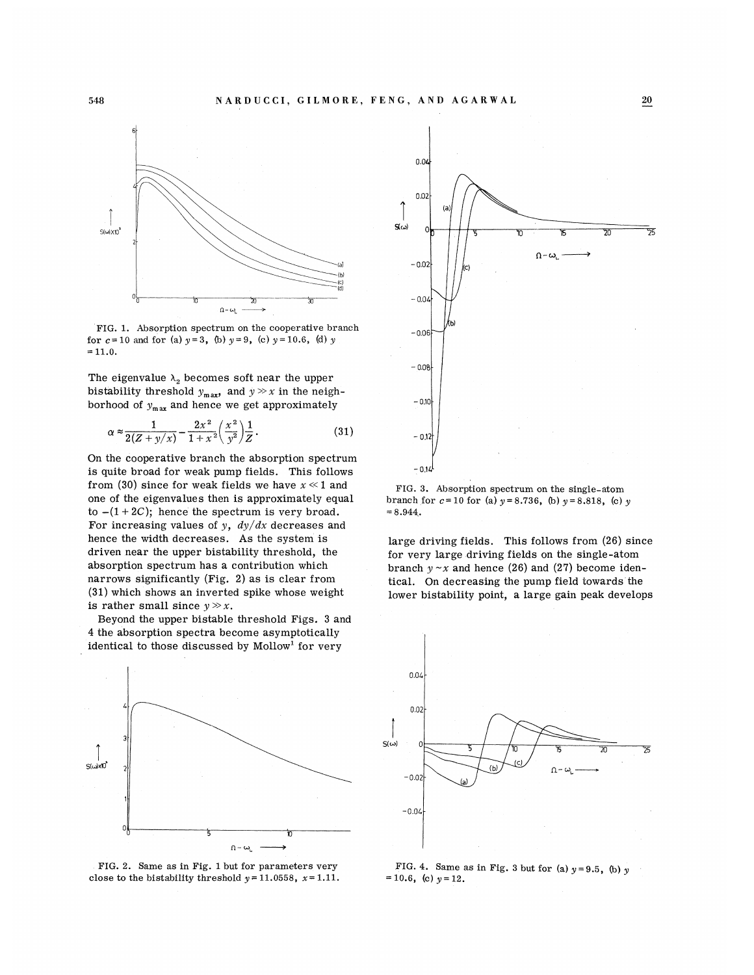

FIG. 1. Absorption spectrum on the cooperative branch for  $c=10$  and for (a)  $y=3$ , (b)  $y=9$ , (c)  $y=10.6$ , (d)  $y$  $= 11.0.$ 

genvalue  $\lambda_2$  becomes soft near the upper<br>lity threshold  $y_{\text{max}}$ , and  $y \gg x$  in the neir borhood of  $y_{\text{max}}$  and hence we get approximately

$$
\alpha \approx \frac{1}{2(Z + y/x)} - \frac{2x^2}{1 + x^2} \left(\frac{x^2}{y^2}\right) \frac{1}{Z}.
$$
 (31)

On the cooperative branch the absorption spectrum is quite broad for weak pump fields. This follows from (30) since for weak fields we have  $x \ll 1$  and one of the eigenvalues then is approximately equal to  $-(1+2C)$ ; hence the spectrum is very broad. For increasing values of y,  $dy/dx$  decreases and hence the width decreases. As the system is driven near the upper bistability threshold, the orption spectrum has a contributio  $(31)$  which shows an inverted spike whose weight is rather small since  $y \gg x$ .

Beyond the upper bistable threshold Figs. 3 and 4 the absorption spectra become asymptotically identical to those discussed by Mollow<sup>1</sup> for very







FIG. 3. Absorption spectrum on the single-atom branch for  $c = 10$  for (a)  $y = 8.736$ , (b)  $y = 8$ .  $= 8.944.$ 

large driving fields. This follows from (26) since for very large driving fields on the single-atom branch  $y \sim x$  and hence (26) and (27) become identical. On decreasing the pump field towards the lower bistability point, a large gain peak develops



FIG. 4. Same as in Fig. 3 but for (a)  $y=9.5$ , (b) y  $= 10.6$ , (c)  $y = 12$ .